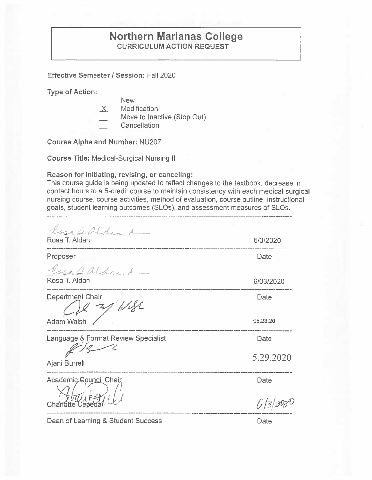## **Northern Marianas College CURRICULUM ACTION REQUEST**

**Effective Semester** I **Session:** Fall 2020

**Type of Action:** 

- 
- **New Modification**
- Move to Inactive (Stop Out)
- Cancellation

**Course Alpha and Number:** NU207

**Course Title:** Medical-Surgical Nursing II

**Reason for initiating, revising, or canceling:** 

This course guide is being updated to reflect changes to the textbook, decrease in contact hours to a 5-credit course to maintain consistency with each medical-surgical nursing course, course activities, method of evaluation, course outline, instructional goals, student learning outcomes (SLOs), and assessment measures of SLOs.

 $l_{631}\,$  2. alder, k Rosa T. Aldan

Proposer **\_-!~.r"'.\_v..\_** tl. tJ-Lr~-1

Rosa T. Aldan

Department Chair  $\mathbb{Z}$  Wish

Adam Walsh

Language & Format Review Specialist

-7  $\mathscr{L}/\mathscr{L}$ 

Ajani Burrell

Academic Council Chair

Charlotte Cepe

Date

 $6|3|300$ 

5.29.2020

6/3/2020

**Date** 

6/03/2020

Date

05.23.20

Date

Dean of Learning & Student Success

Date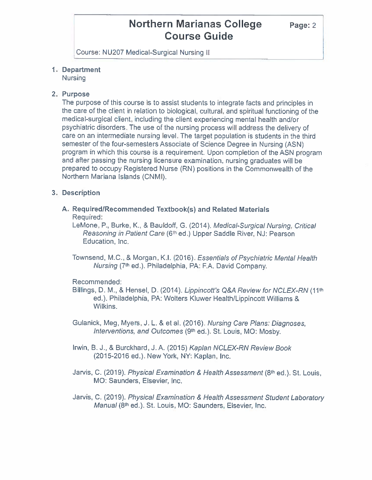Course: NU207 Medical-Surgical Nursing II

## **1. Department**

Nursing

### **2. Purpose**

The purpose of this course is to assist students to integrate facts and principles in the care of the client in relation to biological, cultural, and spiritual functioning of the medical-surgical client, including the client experiencing mental health and/or psychiatric disorders. The use of the nursing process will address the delivery of care on an intermediate nursing level. The target population is students in the third semester of the four-semesters Associate of Science Degree in Nursing (ASN) program in which this course is a requirement. Upon completion of the ASN program and after passing the nursing licensure examination, nursing graduates will be prepared to occupy Registered Nurse (RN) positions in the Commonwealth of the Northern Mariana Islands (CNMI).

## **3. Description**

**A. Required/Recommended Textbook(s) and Related Materials**  Required:

LeMone, P., Burke, K., & Bauldoff, G. (2014). Medical-Surgical Nursing, Critical Reasoning in Patient Care (6<sup>th</sup> ed.) Upper Saddle River, NJ: Pearson Education, Inc.

Townsend, M.C., & Morgan, K.I. {2016). Essentials of Psychiatric Mental Health Nursing (7th ed.). Philadelphia, PA: F.A. David Company.

### Recommended:

- Billings, D. M., & Hensel, D. (2014). Lippincott's Q&A Review for NCLEX-RN (11th ed.). Philadelphia, PA: Wolters Kluwer Health/Lippincott Williams & Wilkins.
- Gulanick, Meg, Myers, J. L. & et al. (2016). Nursing Care Plans: Diagnoses, Interventions, and Outcomes (9<sup>th</sup> ed.). St. Louis, MO: Mosby.
- Irwin, B. J., & Burckhard, J. A. (2015) Kaplan NCLEX-RN Review Book (2015-2016 ed.). New York, NY: Kaplan, Inc.
- Jarvis, C. (2019). Physical Examination & Health Assessment (8<sup>th</sup> ed.). St. Louis, MO: Saunders, Elsevier, Inc.
- Jarvis, C. (2019). Physical Examination & Health Assessment Student Laboratory Manual (8<sup>th</sup> ed.). St. Louis, MO: Saunders, Elsevier, Inc.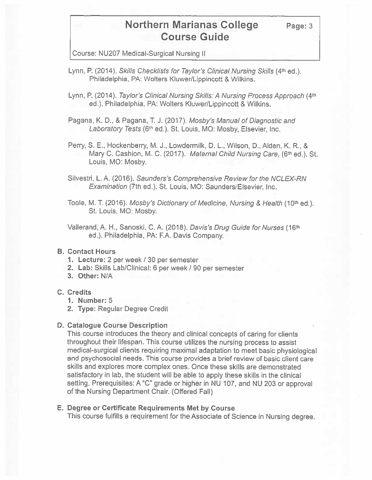Course: NU207 Medical-Surgical Nursing II

- Lynn, P. (2014). Skills Checklists for Taylor's Clinical Nursing Skills (4<sup>th</sup> ed.). Philadelphia, PA: Wolters Kluwer/Lippincott & Wilkins.
- Lynn, P. (2014). Taylor's Clinical Nursing Skills: A Nursing Process Approach (4th ed.). Philadelphia, PA: Wolters Kluwer/Lippincott & Wilkins.

Pagana, K. D., & Pagana, T. J. (2017). Mosby's Manual of Diagnostic and Laboratory Tests (6th ed.). St. Louis, MO: Mosby, Elsevier, Inc.

- Perry, S. E., Hockenberry, M. J., Lowdermilk, D. L., Wilson, 0., Alden, K. R., & Mary C. Cashion, M. C. (2017). Maternal Child Nursing Care, (6<sup>th</sup> ed.). St. Louis, MO: Mosby.
- Silvestri, L.A. (2016}. Saunders's Comprehensive Review for the NCLEX-RN Examination (7th ed.). St. Louis, MO: Saunders/Elsevier, Inc.

Toole, M. T. (2016). Mosby's Dictionary of Medicine, Nursing & Health (10<sup>th</sup> ed.). St. Louis, MO: Mosby.

Vallerand, A. H., Sanoski, C. A. (2018). Davis's Drug Guide for Nurses (161h ed.). Philadelphia, PA: F.A. Davis Company.

#### **B. Contact Hours**

- **1. Lecture:** 2 per week / 30 per semester
- **2. Lab:** Skills Lab/Clinical: 6 per week/ 90 per semester
- **3. Other: N/A**

#### **C. Credits**

- **1. Number:** 5
- **2. Type:** Regular Degree Credit

#### **D. Catalogue Course Description**

This course introduces the theory and clinical concepts of caring for clients throughout their lifespan. This course utilizes the nursing process to assist medical-surgical clients requiring maximal adaptation to meet basic physiological and psychosocial needs. This course provides a brief review of basic client care skills and explores more complex ones. Once these skills are demonstrated satisfactory in lab, the student will be able to apply these skills in the clinical setting. Prerequisites: A "C" grade or higher in NU 107, and NU 203 or approval of the Nursing Department Chair. (Offered Fall)

#### E. **Degree or Certificate Requirements Met by Course**

This course fulfills a requirement for the Associate of Science in Nursing degree.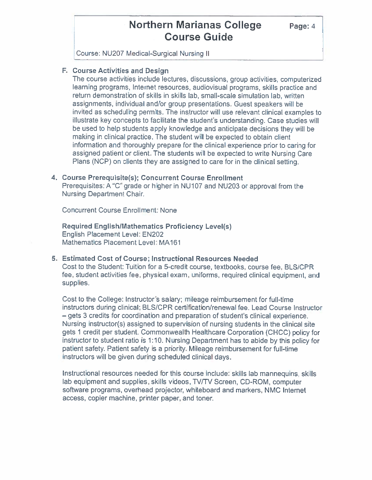**Page:4** 

Course: NU207 Medical-Surgical Nursing II

### **F. Course Activities and Design**

The course activities include lectures, discussions, group activities, computerized learning programs, Internet resources, audiovisual programs, skills practice and return demonstration of skills in skills lab, small-scale simulation lab, written assignments, individual and/or group presentations. Guest speakers will be invited as scheduling permits. The instructor will use relevant clinical examples to illustrate key concepts to facilitate the student's understanding. Case studies will be used to help students apply knowledge and anticipate decisions they will be making in clinical practice. The student will be expected to obtain client information and thoroughly prepare for the clinical experience prior to caring for assigned patient or client. The students will be expected to write Nursing Care Plans (NCP) on clients they are assigned to care for in the clinical setting.

#### **4. Course Prerequisite(s); Concurrent Course Enrollment**

Prerequisites: A "C" grade or higher in NU107 and NU203 or approval from the Nursing Department Chair.

Concurrent Course Enrollment: None

**Required English/Mathematics Proficiency Level(s)**  English Placement Level: EN202 Mathematics Placement Level: MA 161

### **5. Estimated Cost of Course; Instructional Resources Needed**

Cost to the Student: Tuition for a 5-credit course, textbooks, course fee, BLS/CPR fee, student activities fee, physical exam, uniforms, required clinical equipment, and supplies.

Cost to the College: Instructor's salary; mileage reimbursement for full-time instructors during clinical; BLS/CPR certification/renewal fee. Lead Course Instructor - gets 3 credits for coordination and preparation of student's clinical experience. Nursing instructor(s) assigned to supervision of nursing students in the clinical site gets 1 credit per student. Commonwealth Healthcare Corporation (CHCC) policy for instructor to student ratio is 1: 10. Nursing Department has to abide by this policy for patient safety. Patient safety is a priority. Mileage reimbursement for full-time instructors will be given during scheduled clinical days.

Instructional resources needed for this course include: skills lab mannequins, skills lab equipment and supplies, skills videos, TV/TV Screen, CD-ROM, computer software programs, overhead projector, whiteboard and markers. NMC Internet access, copier machine, printer paper. and toner.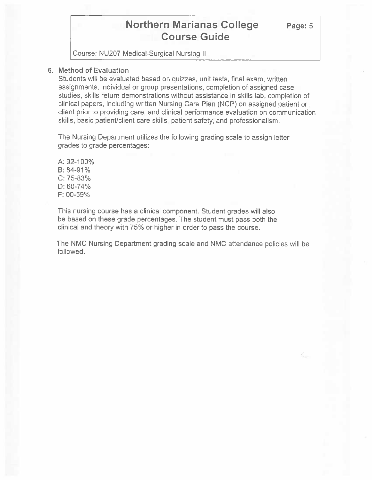Course: NU207 Medical-Surgical Nursing II

#### **6. Method of Evaluation**

Students will be evaluated based on quizzes, unit tests, final exam, written assignments, individual or group presentations, completion of assigned case studies, skills return demonstrations without assistance in skills lab, completion of clinical papers, including written Nursing Care Plan (NCP) on assigned patient or client prior to providing care, and clinical performance evaluation on communication skills, basic patient/client care skills, patient safety, and professionalism.

The Nursing Department utilizes the following grading scale to assign letter grades to grade percentages:

A: 92-100% B: 84-91% C: 75-83% D: 60-74% F: 00-59%

This nursing course has a clinical component. Student grades will also be based on these grade percentages. The student must pass both the clinical and theory with 75% or higher in order to pass the course.

The NMC Nursing Department grading scale and NMC attendance policies will be followed.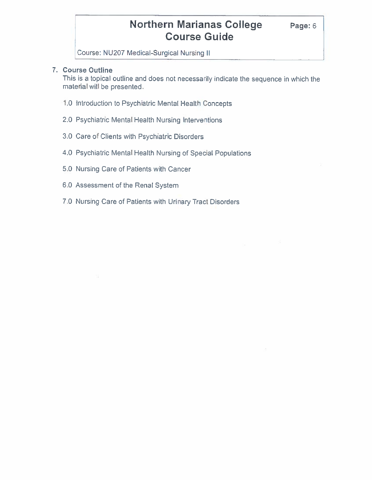Course: NU207 Medical-Surgical Nursing II

### **7. Course Outline**

This is a topical outline and does not necessarily indicate the sequence in which the material will be presented.

- 1.0 Introduction to Psychiatric Mental Health Concepts
- 2.0 Psychiatric Mental Health Nursing Interventions
- 3.0 Care of Clients with Psychiatric Disorders
- 4.0 Psychiatric Mental Health Nursing of Special Populations
- 5.0 Nursing Care of Patients with Cancer
- 6.0 Assessment of the Renal System
- 7.0 Nursing Care of Patients with Urinary Tract Disorders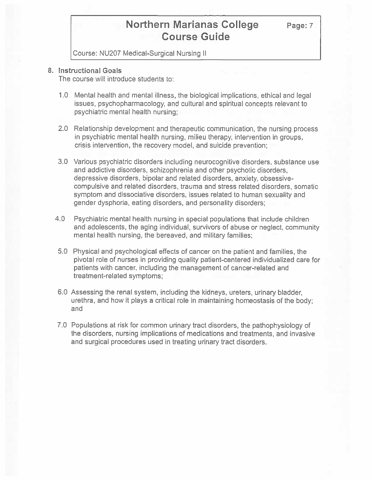**Page:7** 

Course: NU207 Medical-Surgical Nursing II

#### **8. Instructional Goals**

The course will introduce students to:

- 1.0 Mental health and mental illness, the biological implications, ethical and legal issues, psychopharmacology, and cultural and spiritual concepts relevant to psychiatric mental health nursing;
- 2.0 Relationship development and therapeutic communication, the nursing process in psychiatric mental health nursing, milieu therapy, intervention in groups, crisis intervention, the recovery model, and suicide prevention;
- 3.0 Various psychiatric disorders including neurocognitive disorders, substance use and addictive disorders, schizophrenia and other psychotic disorders, depressive disorders, bipolar and related disorders, anxiety, obsessivecompulsive and related disorders, trauma and stress related disorders, somatic symptom and dissociative disorders, issues related to human sexuality and gender dysphoria, eating disorders, and personality disorders;
- 4.0 Psychiatric mental health nursing in special populations that include children and adolescents, the aging individual, survivors of abuse or neglect, community mental health nursing, the bereaved, and military families;
- 5.0 Physical and psychological effects of cancer on the patient and families, the pivotal role of nurses in providing quality patient-centered individualized care for patients with cancer, including the management of cancer-related and treatment-related symptoms;
- 6.0 Assessing the renal system, including the kidneys, ureters, urinary bladder, urethra, and how it plays a critical role in maintaining homeostasis of the body; and
- 7.0 Populations at risk for common urinary tract disorders, the pathophysiology of the disorders, nursing implications of medications and treatments, and invasive and surgical procedures used in treating urinary tract disorders.